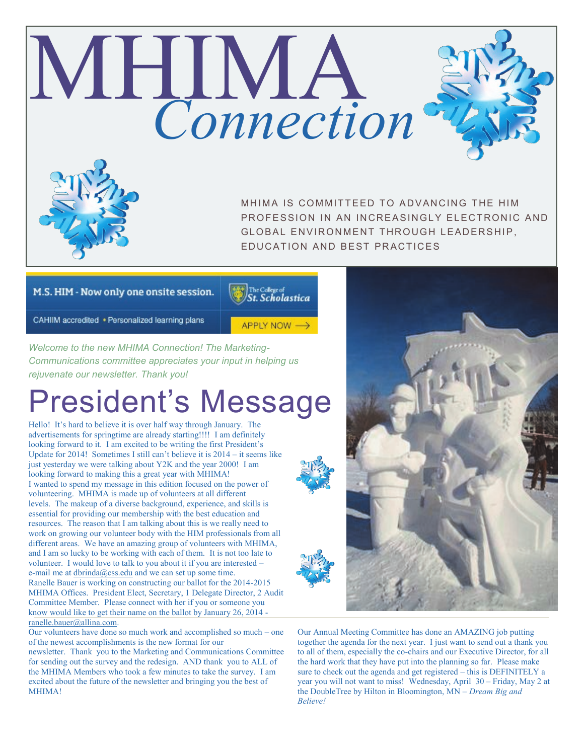# MHIMA *Connection* MHIMA IS COMMITTEED TO ADVANCING THE HIM

PROFFSSION IN AN INCREASINGLY FLECTRONIC AND GLOBAL ENVIRONMENT THROUGH LEADERSHIP. EDUCATION AND BEST PRACTICES

### M.S. HIM - Now only one onsite session.

The College of<br>**St. Scholastica** 

APPLY NOW →

CAHIIM accredited . Personalized learning plans

*Welcome to the new MHIMA Connection! The Marketing-Communications committee appreciates your input in helping us rejuvenate our newsletter. Thank you!*

# President's Message

Hello! It's hard to believe it is over half way through January. The advertisements for springtime are already starting!!!! I am definitely looking forward to it. I am excited to be writing the first President's Update for 2014! Sometimes I still can't believe it is 2014 – it seems like just yesterday we were talking about Y2K and the year 2000! I am looking forward to making this a great year with MHIMA! I wanted to spend my message in this edition focused on the power of volunteering. MHIMA is made up of volunteers at all different levels. The makeup of a diverse background, experience, and skills is essential for providing our membership with the best education and resources. The reason that I am talking about this is we really need to work on growing our volunteer body with the HIM professionals from all different areas. We have an amazing group of volunteers with MHIMA, and I am so lucky to be working with each of them. It is not too late to volunteer. I would love to talk to you about it if you are interested – e-mail me at  $dbrinda@css.edu$  $dbrinda@css.edu$  $dbrinda@css.edu$  and we can set up some time.</u> Ranelle Bauer is working on constructing our ballot for the 2014-2015 MHIMA Offices. President Elect, Secretary, 1 Delegate Director, 2 Audit Committee Member. Please connect with her if you or someone you know would like to get their name on the ballot by January 26, 2014 [ranelle.bauer@allina.com.](mailto:ranelle.bauer@allina.com)

Our volunteers have done so much work and accomplished so much – one of the newest accomplishments is the new format for our

newsletter. Thank you to the Marketing and Communications Committee for sending out the survey and the redesign. AND thank you to ALL of the MHIMA Members who took a few minutes to take the survey. I am excited about the future of the newsletter and bringing you the best of MHIMA!



Our Annual Meeting Committee has done an AMAZING job putting together the agenda for the next year. I just want to send out a thank you to all of them, especially the co-chairs and our Executive Director, for all the hard work that they have put into the planning so far. Please make sure to check out the agenda and get registered – this is DEFINITELY a year you will not want to miss! Wednesday, April 30 – Friday, May 2 at the DoubleTree by Hilton in Bloomington, MN – *Dream Big and Believe!*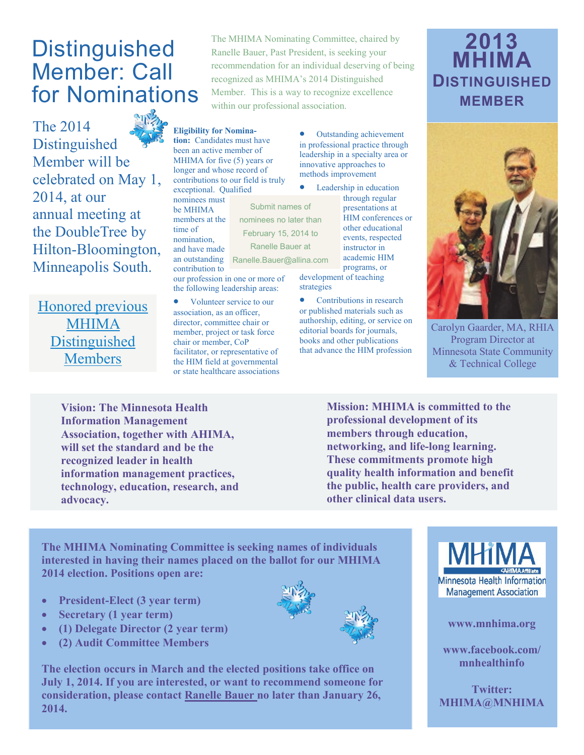## **Distinguished** Member: Call for Nominations

The 2014 Distinguished Member will be celebrated on May 1, 2014, at our annual meeting at the DoubleTree by Hilton-Bloomington, Minneapolis South.

[Honored previous](http://www.mnhima.org/aboutus/MHIMA_Distinguished_Members_Recipients.pdf)  [MHIMA](http://www.mnhima.org/aboutus/MHIMA_Distinguished_Members_Recipients.pdf)  [Distinguished](http://www.mnhima.org/aboutus/MHIMA_Distinguished_Members_Recipients.pdf)  [Members](http://www.mnhima.org/aboutus/MHIMA_Distinguished_Members_Recipients.pdf)

The MHIMA Nominating Committee, chaired by Ranelle Bauer, Past President, is seeking your recommendation for an individual deserving of being recognized as MHIMA's 2014 Distinguished Member. This is a way to recognize excellence within our professional association.

> Outstanding achievement in professional practice through leadership in a specialty area or innovative approaches to methods improvement

• Leadership in education through regular presentations at HIM conferences or other educational events, respected instructor in academic HIM programs, or

development of teaching strategies

 Contributions in research or published materials such as authorship, editing, or service on editorial boards for journals, books and other publications that advance the HIM profession

## **2013 MHIMA DISTINGUISHED MEMBER**



Carolyn Gaarder, MA, RHIA Program Director at Minnesota State Community & Technical College

**Vision: The Minnesota Health Information Management Association, together with AHIMA, will set the standard and be the recognized leader in health information management practices, technology, education, research, and advocacy.**

**Mission: MHIMA is committed to the professional development of its members through education, networking, and life-long learning. These commitments promote high quality health information and benefit the public, health care providers, and other clinical data users.**

**The MHIMA Nominating Committee is seeking names of individuals interested in having their names placed on the ballot for our MHIMA 2014 election. Positions open are:**

**Eligibility for Nomination:** Candidates must have been an active member of MHIMA for five (5) years or longer and whose record of contributions to our field is truly

exceptional. Qualified nominees must be MHIMA members at the time of nomination, and have made

contribution to

an outstanding Ranelle.Bauer@allina.com

Submit names of nominees no later than February 15, 2014 to Ranelle Bauer at

our profession in one or more of the following leadership areas: • Volunteer service to our association, as an officer, director, committee chair or member, project or task force chair or member, CoP facilitator, or representative of the HIM field at governmental or state healthcare associations

- **President-Elect (3 year term)**
- **Secretary (1 year term)**
- **(1) Delegate Director (2 year term)**
- **(2) Audit Committee Members**

**The election occurs in March and the elected positions take office on July 1, 2014. If you are interested, or want to recommend someone for consideration, please contact [Ranelle Bauer n](mailto:ranelle.bauer@allina.com)o later than January 26, 2014.**



#### **www.mnhima.org**

**www.facebook.com/ mnhealthinfo**

**Twitter: MHIMA@MNHIMA**

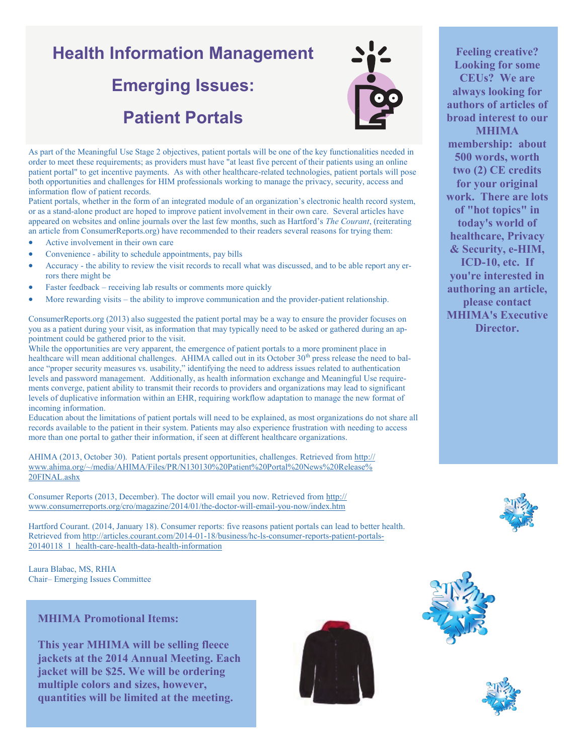# **Health Information Management Emerging Issues: Patient Portals**



As part of the Meaningful Use Stage 2 objectives, patient portals will be one of the key functionalities needed in order to meet these requirements; as providers must have "at least five percent of their patients using an online patient portal" to get incentive payments. As with other healthcare-related technologies, patient portals will pose both opportunities and challenges for HIM professionals working to manage the privacy, security, access and information flow of patient records.

Patient portals, whether in the form of an integrated module of an organization's electronic health record system, or as a stand-alone product are hoped to improve patient involvement in their own care. Several articles have appeared on websites and online journals over the last few months, such as Hartford's *The Courant*, (reiterating an article from ConsumerReports.org) have recommended to their readers several reasons for trying them:

- Active involvement in their own care
- Convenience ability to schedule appointments, pay bills
- Accuracy the ability to review the visit records to recall what was discussed, and to be able report any errors there might be
- Faster feedback receiving lab results or comments more quickly
- More rewarding visits the ability to improve communication and the provider-patient relationship.

ConsumerReports.org (2013) also suggested the patient portal may be a way to ensure the provider focuses on you as a patient during your visit, as information that may typically need to be asked or gathered during an appointment could be gathered prior to the visit.

While the opportunities are very apparent, the emergence of patient portals to a more prominent place in healthcare will mean additional challenges. AHIMA called out in its October 30<sup>th</sup> press release the need to balance "proper security measures vs. usability," identifying the need to address issues related to authentication levels and password management. Additionally, as health information exchange and Meaningful Use requirements converge, patient ability to transmit their records to providers and organizations may lead to significant levels of duplicative information within an EHR, requiring workflow adaptation to manage the new format of incoming information.

Education about the limitations of patient portals will need to be explained, as most organizations do not share all records available to the patient in their system. Patients may also experience frustration with needing to access more than one portal to gather their information, if seen at different healthcare organizations.

AHIMA (2013, October 30). Patient portals present opportunities, challenges. Retrieved from [http://](http://www.ahima.org/~/media/AHIMA/Files/PR/N130130%20Patient%20Portal%20News%20Release%20FINAL.ashx) [www.ahima.org/~/media/AHIMA/Files/PR/N130130%20Patient%20Portal%20News%20Release%](http://www.ahima.org/~/media/AHIMA/Files/PR/N130130%20Patient%20Portal%20News%20Release%20FINAL.ashx) [20FINAL.ashx](http://www.ahima.org/~/media/AHIMA/Files/PR/N130130%20Patient%20Portal%20News%20Release%20FINAL.ashx)

Consumer Reports (2013, December). The doctor will email you now. Retrieved from [http://](http://www.consumerreports.org/cro/magazine/2014/01/the-doctor-will-email-you-now/index.htm) [www.consumerreports.org/cro/magazine/2014/01/the](http://www.consumerreports.org/cro/magazine/2014/01/the-doctor-will-email-you-now/index.htm)-doctor-will-email-you-now/index.htm

Hartford Courant. (2014, January 18). Consumer reports: five reasons patient portals can lead to better health. Retrieved from [http://articles.courant.com/2014](http://articles.courant.com/2014-01-18/business/hc-ls-consumer-reports-patient-portals-20140118_1_health-care-health-data-health-information)-01-18/business/hc-ls-consumer-reports-patient-portals-[20140118\\_1\\_health](http://articles.courant.com/2014-01-18/business/hc-ls-consumer-reports-patient-portals-20140118_1_health-care-health-data-health-information)-care-health-data-health-information

Laura Blabac, MS, RHIA Chair– Emerging Issues Committee

### **MHIMA Promotional Items:**

**This year MHIMA will be selling fleece jackets at the 2014 Annual Meeting. Each jacket will be \$25. We will be ordering multiple colors and sizes, however, quantities will be limited at the meeting.** 



**Feeling creative? Looking for some CEUs? We are always looking for authors of articles of broad interest to our MHIMA membership: about 500 words, worth two (2) CE credits for your original work. There are lots of "hot topics" in today's world of healthcare, Privacy & Security, e-HIM, ICD-10, etc. If you're interested in authoring an article, please contact MHIMA's Executive Director.**





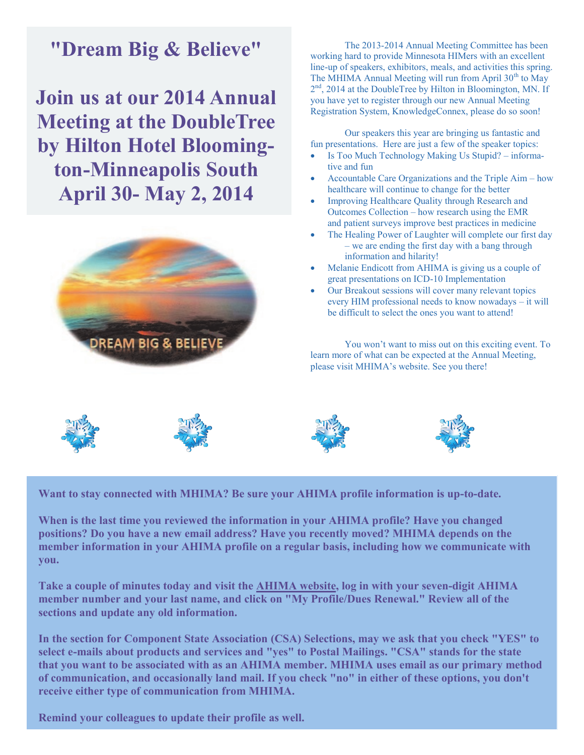## **"Dream Big & Believe"**

**Join us at our 2014 Annual Meeting at the DoubleTree by Hilton Hotel Bloomington-Minneapolis South April 30- May 2, 2014**



The 2013-2014 Annual Meeting Committee has been working hard to provide Minnesota HIMers with an excellent line-up of speakers, exhibitors, meals, and activities this spring. The MHIMA Annual Meeting will run from April  $30<sup>th</sup>$  to May 2<sup>nd</sup>, 2014 at the DoubleTree by Hilton in Bloomington, MN. If you have yet to register through our new Annual Meeting Registration System, KnowledgeConnex, please do so soon!

Our speakers this year are bringing us fantastic and fun presentations. Here are just a few of the speaker topics:

- Is Too Much Technology Making Us Stupid? informative and fun
- Accountable Care Organizations and the Triple Aim how healthcare will continue to change for the better
- Improving Healthcare Quality through Research and Outcomes Collection – how research using the EMR and patient surveys improve best practices in medicine
- The Healing Power of Laughter will complete our first day – we are ending the first day with a bang through information and hilarity!
- Melanie Endicott from AHIMA is giving us a couple of great presentations on ICD-10 Implementation
- Our Breakout sessions will cover many relevant topics every HIM professional needs to know nowadays – it will be difficult to select the ones you want to attend!

You won't want to miss out on this exciting event. To learn more of what can be expected at the Annual Meeting, please visit MHIMA's website. See you there!



**Want to stay connected with MHIMA? Be sure your AHIMA profile information is up-to-date.**

**When is the last time you reviewed the information in your AHIMA profile? Have you changed positions? Do you have a new email address? Have you recently moved? MHIMA depends on the member information in your AHIMA profile on a regular basis, including how we communicate with you.**

**Take a couple of minutes today and visit the [AHIMA website,](http://www.ahima.org) log in with your seven-digit AHIMA member number and your last name, and click on "My Profile/Dues Renewal." Review all of the sections and update any old information.**

**In the section for Component State Association (CSA) Selections, may we ask that you check "YES" to select e-mails about products and services and "yes" to Postal Mailings. "CSA" stands for the state that you want to be associated with as an AHIMA member. MHIMA uses email as our primary method of communication, and occasionally land mail. If you check "no" in either of these options, you don't receive either type of communication from MHIMA.**

**Remind your colleagues to update their profile as well.**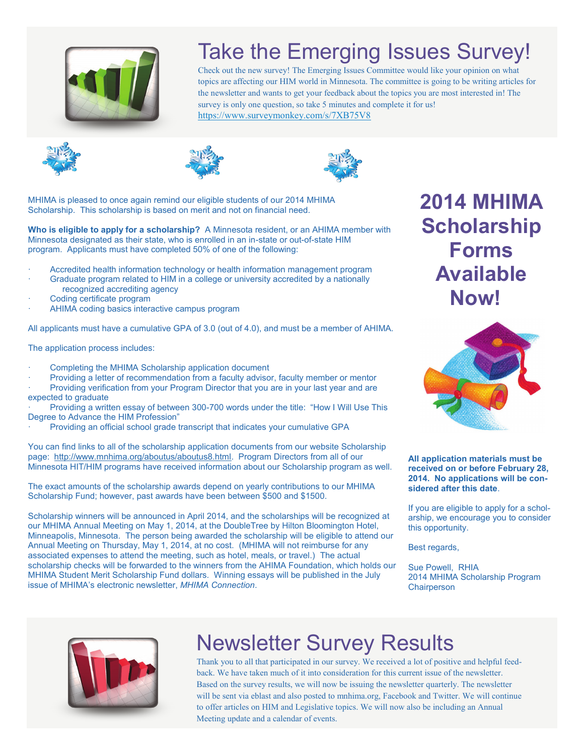

# Take the Emerging Issues Survey!

Check out the new survey! The Emerging Issues Committee would like your opinion on what topics are affecting our HIM world in Minnesota. The committee is going to be writing articles for the newsletter and wants to get your feedback about the topics you are most interested in! The survey is only one question, so take 5 minutes and complete it for us! <https://www.surveymonkey.com/s/7XB75V8>







MHIMA is pleased to once again remind our eligible students of our 2014 MHIMA Scholarship. This scholarship is based on merit and not on financial need.

**Who is eligible to apply for a scholarship?** A Minnesota resident, or an AHIMA member with Minnesota designated as their state, who is enrolled in an in-state or out-of-state HIM program. Applicants must have completed 50% of one of the following:

- · Accredited health information technology or health information management program
- Graduate program related to HIM in a college or university accredited by a nationally recognized accrediting agency
- Coding certificate program
- AHIMA coding basics interactive campus program

All applicants must have a cumulative GPA of 3.0 (out of 4.0), and must be a member of AHIMA.

The application process includes:

Completing the MHIMA Scholarship application document

Providing a letter of recommendation from a faculty advisor, faculty member or mentor

Providing verification from your Program Director that you are in your last year and are expected to graduate

· Providing a written essay of between 300-700 words under the title: "How I Will Use This Degree to Advance the HIM Profession"

Providing an official school grade transcript that indicates your cumulative GPA

You can find links to all of the scholarship application documents from our website Scholarship page: [http://www.mnhima.org/aboutus/aboutus8.html.](http://www.mnhima.org/aboutus/aboutus8.html) Program Directors from all of our Minnesota HIT/HIM programs have received information about our Scholarship program as well.

The exact amounts of the scholarship awards depend on yearly contributions to our MHIMA Scholarship Fund; however, past awards have been between \$500 and \$1500.

Scholarship winners will be announced in April 2014, and the scholarships will be recognized at our MHIMA Annual Meeting on May 1, 2014, at the DoubleTree by Hilton Bloomington Hotel, Minneapolis, Minnesota. The person being awarded the scholarship will be eligible to attend our Annual Meeting on Thursday, May 1, 2014, at no cost. (MHIMA will not reimburse for any associated expenses to attend the meeting, such as hotel, meals, or travel.) The actual scholarship checks will be forwarded to the winners from the AHIMA Foundation, which holds our MHIMA Student Merit Scholarship Fund dollars. Winning essays will be published in the July issue of MHIMA's electronic newsletter, *MHIMA Connection*.

**2014 MHIMA Scholarship Forms Available Now!** 



**All application materials must be received on or before February 28, 2014. No applications will be considered after this date**.

If you are eligible to apply for a scholarship, we encourage you to consider this opportunity.

Best regards,

Sue Powell, RHIA 2014 MHIMA Scholarship Program **Chairperson** 



# Newsletter Survey Results

Thank you to all that participated in our survey. We received a lot of positive and helpful feedback. We have taken much of it into consideration for this current issue of the newsletter. Based on the survey results, we will now be issuing the newsletter quarterly. The newsletter will be sent via eblast and also posted to mnhima.org, Facebook and Twitter. We will continue to offer articles on HIM and Legislative topics. We will now also be including an Annual Meeting update and a calendar of events.